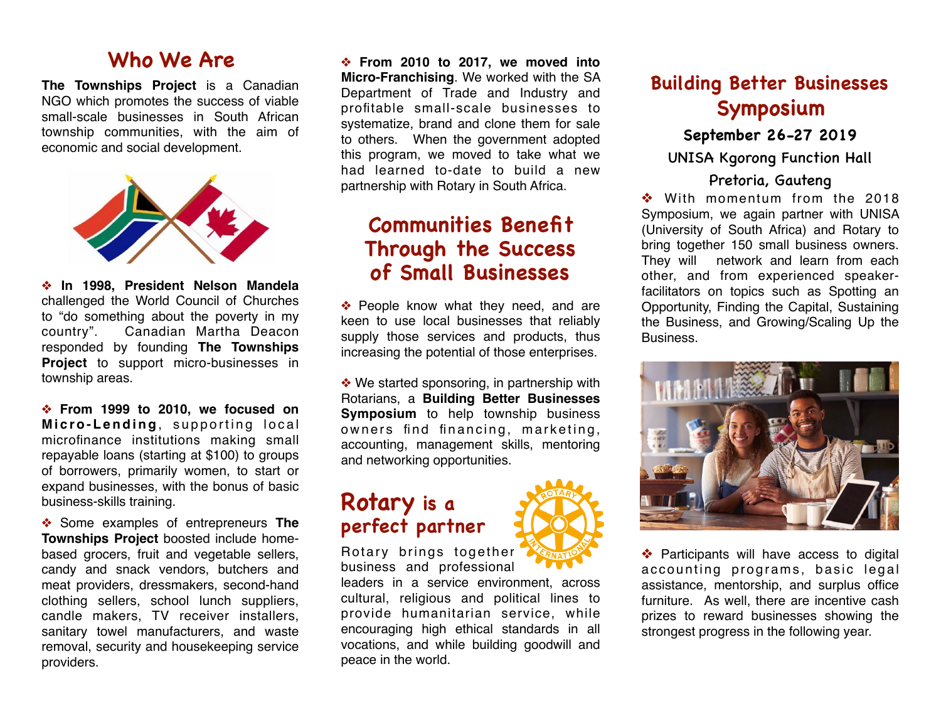### **Who We Are**

**The Townships Project** is a Canadian NGO which promotes the success of viable small-scale businesses in South African township communities, with the aim of economic and social development.



❖ **In 1998, President Nelson Mandela** challenged the World Council of Churches to "do something about the poverty in my country". Canadian Martha Deacon responded by founding **The Townships Project** to support micro-businesses in township areas.

❖ **From 1999 to 2010, we focused on Micro-Lending**, supporting local microfinance institutions making small repayable loans (starting at \$100) to groups of borrowers, primarily women, to start or expand businesses, with the bonus of basic business-skills training.

❖ Some examples of entrepreneurs **The Townships Project** boosted include homebased grocers, fruit and vegetable sellers, candy and snack vendors, butchers and meat providers, dressmakers, second-hand clothing sellers, school lunch suppliers, candle makers, TV receiver installers, sanitary towel manufacturers, and waste removal, security and housekeeping service providers.

❖ **From 2010 to 2017, we moved into Micro-Franchising**. We worked with the SA Department of Trade and Industry and profitable small-scale businesses to systematize, brand and clone them for sale to others. When the government adopted this program, we moved to take what we had learned to-date to build a new partnership with Rotary in South Africa.

## **Communities Benefit Through the Success of Small Businesses**

❖ People know what they need, and are keen to use local businesses that reliably supply those services and products, thus increasing the potential of those enterprises.

❖ We started sponsoring, in partnership with Rotarians, a **Building Better Businesses Symposium** to help township business owners find financing, marketing, accounting, management skills, mentoring and networking opportunities.

# **Rotary is a perfect partner**

Rotary brings together business and professional

leaders in a service environment, across cultural, religious and political lines to provide humanitarian service, while encouraging high ethical standards in all vocations, and while building goodwill and peace in the world.



### **September 26-27 2019**

UNISA Kgorong Function Hall

### Pretoria, Gauteng

❖ With momentum from the 2018 Symposium, we again partner with UNISA (University of South Africa) and Rotary to bring together 150 small business owners. They will network and learn from each other, and from experienced speakerfacilitators on topics such as Spotting an Opportunity, Finding the Capital, Sustaining the Business, and Growing/Scaling Up the Business.



❖ Participants will have access to digital accounting programs, basic legal assistance, mentorship, and surplus office furniture. As well, there are incentive cash prizes to reward businesses showing the strongest progress in the following year.